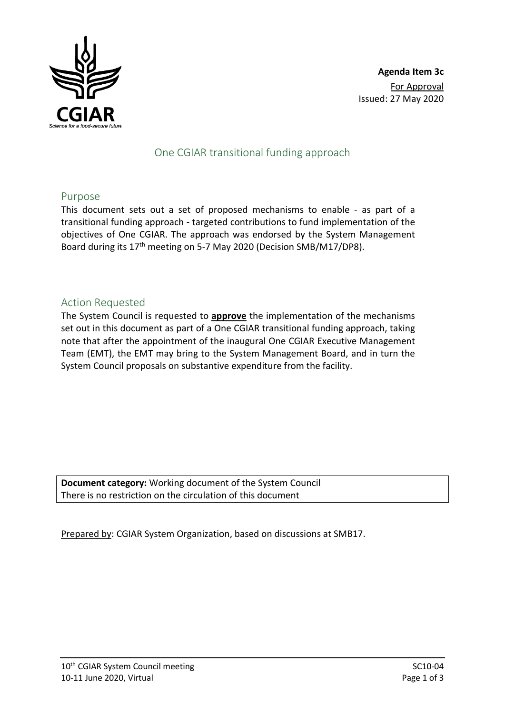

## One CGIAR transitional funding approach

#### Purpose

This document sets out a set of proposed mechanisms to enable - as part of a transitional funding approach - targeted contributions to fund implementation of the objectives of One CGIAR. The approach was endorsed by the System Management Board during its 17th meeting on 5-7 May 2020 (Decision SMB/M17/DP8).

### Action Requested

The System Council is requested to **approve** the implementation of the mechanisms set out in this document as part of a One CGIAR transitional funding approach, taking note that after the appointment of the inaugural One CGIAR Executive Management Team (EMT), the EMT may bring to the System Management Board, and in turn the System Council proposals on substantive expenditure from the facility.

**Document category:** Working document of the System Council There is no restriction on the circulation of this document

Prepared by: CGIAR System Organization, based on discussions at SMB17.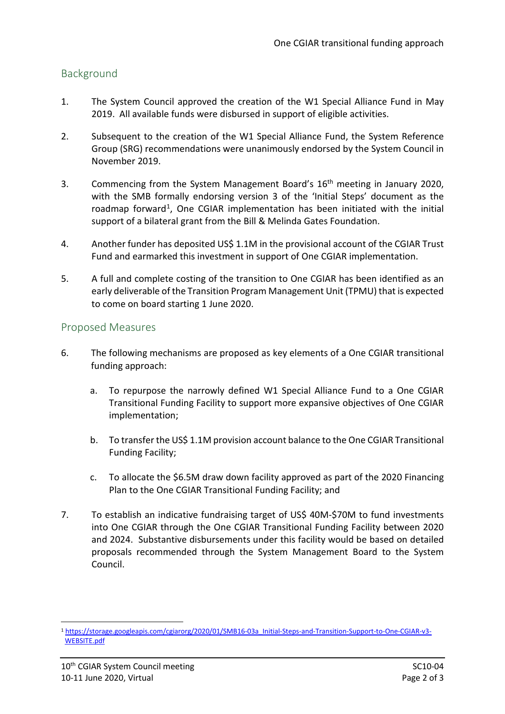## Background

- 1. The System Council approved the creation of the W1 Special Alliance Fund in May 2019. All available funds were disbursed in support of eligible activities.
- 2. Subsequent to the creation of the W1 Special Alliance Fund, the System Reference Group (SRG) recommendations were unanimously endorsed by the System Council in November 2019.
- 3. Commencing from the System Management Board's  $16<sup>th</sup>$  meeting in January 2020, with the SMB formally endorsing version 3 of the 'Initial Steps' document as the roadmap forward<sup>[1](#page-1-0)</sup>, One CGIAR implementation has been initiated with the initial support of a bilateral grant from the Bill & Melinda Gates Foundation.
- 4. Another funder has deposited US\$ 1.1M in the provisional account of the CGIAR Trust Fund and earmarked this investment in support of One CGIAR implementation.
- 5. A full and complete costing of the transition to One CGIAR has been identified as an early deliverable of the Transition Program Management Unit (TPMU) that is expected to come on board starting 1 June 2020.

#### Proposed Measures

- 6. The following mechanisms are proposed as key elements of a One CGIAR transitional funding approach:
	- a. To repurpose the narrowly defined W1 Special Alliance Fund to a One CGIAR Transitional Funding Facility to support more expansive objectives of One CGIAR implementation;
	- b. To transfer the US\$ 1.1M provision account balance to the One CGIAR Transitional Funding Facility;
	- c. To allocate the \$6.5M draw down facility approved as part of the 2020 Financing Plan to the One CGIAR Transitional Funding Facility; and
- 7. To establish an indicative fundraising target of US\$ 40M-\$70M to fund investments into One CGIAR through the One CGIAR Transitional Funding Facility between 2020 and 2024. Substantive disbursements under this facility would be based on detailed proposals recommended through the System Management Board to the System Council.

<span id="page-1-0"></span><sup>1</sup> https://storage.googleapis.com/cgiarorg/2020/01/SMB16-03a\_Initial-Steps-and-Transition-Support-to-One-CGIAR-v3- WEBSITE.pdf